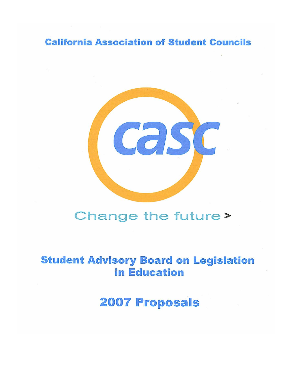**California Association of Student Councils** 



# Change the future>

# **Student Advisory Board on Legislation in Education**

**2007 Proposals**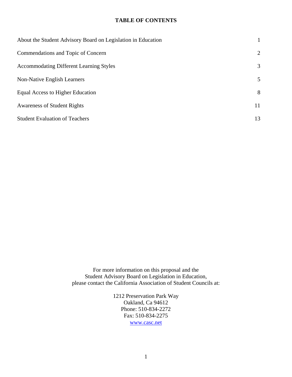#### **TABLE OF CONTENTS**

| About the Student Advisory Board on Legislation in Education |    |
|--------------------------------------------------------------|----|
| Commendations and Topic of Concern                           | 2  |
| <b>Accommodating Different Learning Styles</b>               | 3  |
| <b>Non-Native English Learners</b>                           | 5  |
| Equal Access to Higher Education                             | 8  |
| <b>Awareness of Student Rights</b>                           | 11 |
| <b>Student Evaluation of Teachers</b>                        | 13 |

For more information on this proposal and the Student Advisory Board on Legislation in Education, please contact the California Association of Student Councils at:

> 1212 Preservation Park Way Oakland, Ca 94612 Phone: 510-834-2272 Fax: 510-834-2275 www.casc.net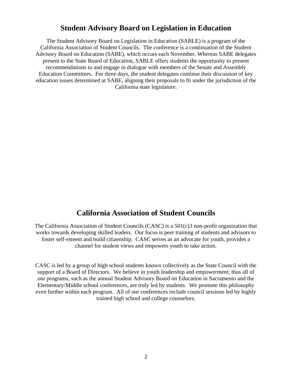## **Student Advisory Board on Legislation in Education**

The Student Advisory Board on Legislation in Education (SABLE) is a program of the California Association of Student Councils. The conference is a continuation of the Student Advisory Board on Education (SABE), which occurs each November. Whereas SABE delegates present to the State Board of Education, SABLE offers students the opportunity to present recommendations to and engage in dialogue with members of the Senate and Assembly Education Committees. For three days, the student delegates continue their discussion of key education issues determined at SABE, aligning their proposals to fit under the jurisdiction of the California state legislature.

## **California Association of Student Councils**

The California Association of Student Councils (CASC) is a 501(c)3 non-profit organization that works towards developing skilled leaders. Our focus is peer training of students and advisors to foster self-esteem and build citizenship. CASC serves as an advocate for youth, provides a channel for student views and empowers youth to take action.

CASC is led by a group of high school students known collectively as the State Council with the support of a Board of Directors. We believe in youth leadership and empowerment; thus all of our programs, such as the annual Student Advisory Board on Education in Sacramento and the Elementary/Middle school conferences, are truly led by students. We promote this philosophy even further within each program. All of our conferences include council sessions led by highly trained high school and college counselors.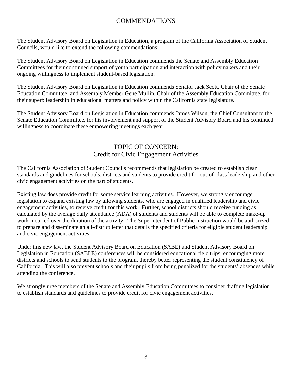## COMMENDATIONS

The Student Advisory Board on Legislation in Education, a program of the California Association of Student Councils, would like to extend the following commendations:

The Student Advisory Board on Legislation in Education commends the Senate and Assembly Education Committees for their continued support of youth participation and interaction with policymakers and their ongoing willingness to implement student-based legislation.

The Student Advisory Board on Legislation in Education commends Senator Jack Scott, Chair of the Senate Education Committee, and Assembly Member Gene Mullin, Chair of the Assembly Education Committee, for their superb leadership in educational matters and policy within the California state legislature.

The Student Advisory Board on Legislation in Education commends James Wilson, the Chief Consultant to the Senate Education Committee, for his involvement and support of the Student Advisory Board and his continued willingness to coordinate these empowering meetings each year.

## TOPIC OF CONCERN: Credit for Civic Engagement Activities

The California Association of Student Councils recommends that legislation be created to establish clear standards and guidelines for schools, districts and students to provide credit for out-of-class leadership and other civic engagement activities on the part of students.

Existing law does provide credit for some service learning activities. However, we strongly encourage legislation to expand existing law by allowing students, who are engaged in qualified leadership and civic engagement activities, to receive credit for this work. Further, school districts should receive funding as calculated by the average daily attendance (ADA) of students and students will be able to complete make-up work incurred over the duration of the activity. The Superintendent of Public Instruction would be authorized to prepare and disseminate an all-district letter that details the specified criteria for eligible student leadership and civic engagement activities.

Under this new law, the Student Advisory Board on Education (SABE) and Student Advisory Board on Legislation in Education (SABLE) conferences will be considered educational field trips, encouraging more districts and schools to send students to the program, thereby better representing the student constituency of California. This will also prevent schools and their pupils from being penalized for the students' absences while attending the conference.

We strongly urge members of the Senate and Assembly Education Committees to consider drafting legislation to establish standards and guidelines to provide credit for civic engagement activities.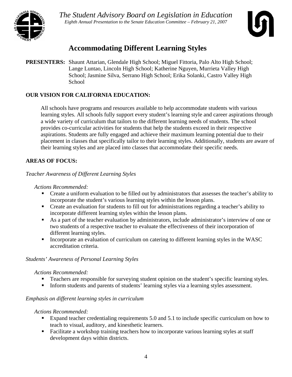



## **Accommodating Different Learning Styles**

**PRESENTERS:** Shaunt Attarian, Glendale High School; Miguel Fittoria, Palo Alto High School; Lange Luntao, Lincoln High School; Katherine Nguyen, Murrieta Valley High School; Jasmine Silva, Serrano High School; Erika Solanki, Castro Valley High **School** 

## **OUR VISION FOR CALIFORNIA EDUCATION:**

All schools have programs and resources available to help accommodate students with various learning styles. All schools fully support every student's learning style and career aspirations through a wide variety of curriculum that tailors to the different learning needs of students. The school provides co-curricular activities for students that help the students exceed in their respective aspirations. Students are fully engaged and achieve their maximum learning potential due to their placement in classes that specifically tailor to their learning styles. Additionally, students are aware of their learning styles and are placed into classes that accommodate their specific needs.

## **AREAS OF FOCUS:**

*Teacher Awareness of Different Learning Styles* 

### *Actions Recommended:*

- Create a uniform evaluation to be filled out by administrators that assesses the teacher's ability to incorporate the student's various learning styles within the lesson plans.
- **•** Create an evaluation for students to fill out for administrations regarding a teacher's ability to incorporate different learning styles within the lesson plans.
- As a part of the teacher evaluation by administrators, include administrator's interview of one or two students of a respective teacher to evaluate the effectiveness of their incorporation of different learning styles.
- Incorporate an evaluation of curriculum on catering to different learning styles in the WASC accreditation criteria.

### *Students' Awareness of Personal Learning Styles*

### *Actions Recommended:*

- **Teachers are responsible for surveying student opinion on the student's specific learning styles.**
- Inform students and parents of students' learning styles via a learning styles assessment.

## *Emphasis on different learning styles in curriculum*

- Expand teacher credentialing requirements 5.0 and 5.1 to include specific curriculum on how to teach to visual, auditory, and kinesthetic learners.
- Facilitate a workshop training teachers how to incorporate various learning styles at staff development days within districts.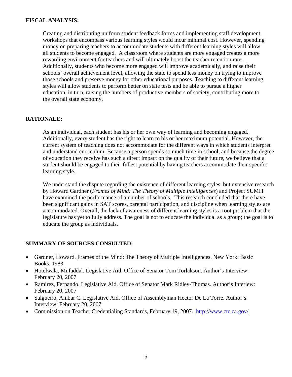### **FISCAL ANALYSIS:**

Creating and distributing uniform student feedback forms and implementing staff development workshops that encompass various learning styles would incur minimal cost. However, spending money on preparing teachers to accommodate students with different learning styles will allow all students to become engaged. A classroom where students are more engaged creates a more rewarding environment for teachers and will ultimately boost the teacher retention rate. Additionally, students who become more engaged will improve academically, and raise their schools' overall achievement level, allowing the state to spend less money on trying to improve those schools and preserve money for other educational purposes. Teaching to different learning styles will allow students to perform better on state tests and be able to pursue a higher education, in turn, raising the numbers of productive members of society, contributing more to the overall state economy.

## **RATIONALE:**

As an individual, each student has his or her own way of learning and becoming engaged. Additionally, every student has the right to learn to his or her maximum potential. However, the current system of teaching does not accommodate for the different ways in which students interpret and understand curriculum. Because a person spends so much time in school, and because the degree of education they receive has such a direct impact on the quality of their future, we believe that a student should be engaged to their fullest potential by having teachers accommodate their specific learning style.

We understand the dispute regarding the existence of different learning styles, but extensive research by Howard Gardner (*Frames of Mind: The Theory of Multiple Intelligences*) and Project SUMIT have examined the performance of a number of schools. This research concluded that there have been significant gains in SAT scores, parental participation, and discipline when learning styles are accommodated. Overall, the lack of awareness of different learning styles is a root problem that the legislature has yet to fully address. The goal is not to educate the individual as a group; the goal is to educate the group as individuals.

- Gardner, Howard. Frames of the Mind: The Theory of Multiple Intelligences. New York: Basic Books. 1983
- Hotelwala, Mufaddal. Legislative Aid. Office of Senator Tom Torlakson. Author's Interview: February 20, 2007
- Ramirez, Fernando. Legislative Aid. Office of Senator Mark Ridley-Thomas. Author's Interiew: February 20, 2007
- Salgueiro, Ambar C. Legislative Aid. Office of Assemblyman Hector De La Torre. Author's Interview: February 20, 2007
- Commission on Teacher Credentialing Standards, February 19, 2007. http://www.ctc.ca.gov/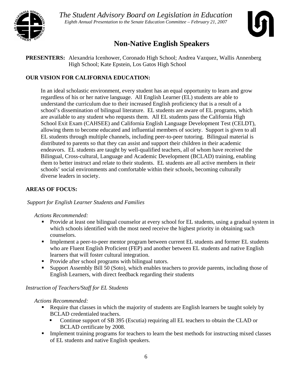



## **Non-Native English Speakers**

**PRESENTERS:** Alexandria Icenhower, Coronado High School; Andrea Vazquez, Wallis Annenberg High School; Kate Epstein, Los Gatos High School

## **OUR VISION FOR CALIFORNIA EDUCATION:**

In an ideal scholastic environment, every student has an equal opportunity to learn and grow regardless of his or her native language. All English Learner (EL) students are able to understand the curriculum due to their increased English proficiency that is a result of a school's dissemination of bilingual literature. EL students are aware of EL programs, which are available to any student who requests them. All EL students pass the California High School Exit Exam (CAHSEE) and California English Language Development Test (CELDT), allowing them to become educated and influential members of society. Support is given to all EL students through multiple channels, including peer-to-peer tutoring. Bilingual material is distributed to parents so that they can assist and support their children in their academic endeavors. EL students are taught by well-qualified teachers, all of whom have received the Bilingual, Cross-cultural, Language and Academic Development (BCLAD) training, enabling them to better instruct and relate to their students. EL students are all active members in their schools' social environments and comfortable within their schools, becoming culturally diverse leaders in society.

## **AREAS OF FOCUS:**

## *Support for English Learner Students and Families*

### *Actions Recommended:*

- Provide at least one bilingual counselor at every school for EL students, using a gradual system in which schools identified with the most need receive the highest priority in obtaining such counselors.
- Implement a peer-to-peer mentor program between current EL students and former EL students who are Fluent English Proficient (FEP) and another between EL students and native English learners that will foster cultural integration.
- Provide after school programs with bilingual tutors.
- Support Assembly Bill 50 (Soto), which enables teachers to provide parents, including those of English Learners, with direct feedback regarding their students

## *Instruction of Teachers/Staff for EL Students*

- Require that classes in which the majority of students are English learners be taught solely by BCLAD credentialed teachers.
	- Continue support of SB 395 (Escutia) requiring all EL teachers to obtain the CLAD or BCLAD certificate by 2008.
- Implement training programs for teachers to learn the best methods for instructing mixed classes of EL students and native English speakers.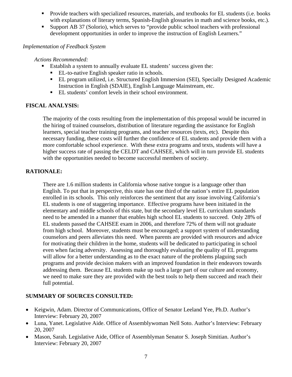- Provide teachers with specialized resources, materials, and textbooks for EL students (i.e. books with explanations of literary terms, Spanish-English glossaries in math and science books, etc.).
- Support AB 37 (Solorio), which serves to "provide public school teachers with professional development opportunities in order to improve the instruction of English Learners."

## *Implementation of Feedback System*

*Actions Recommended:* 

- Establish a system to annually evaluate EL students' success given the:
	- EL-to-native English speaker ratio in schools.
	- EL program utilized, i.e. Structured English Immersion (SEI), Specially Designed Academic Instruction in English (SDAIE), English Language Mainstream, etc.
	- EL students' comfort levels in their school environment.

## **FISCAL ANALYSIS:**

The majority of the costs resulting from the implementation of this proposal would be incurred in the hiring of trained counselors, distribution of literature regarding the assistance for English learners, special teacher training programs, and teacher resources (texts, etc). Despite this necessary funding, these costs will further the confidence of EL students and provide them with a more comfortable school experience. With these extra programs and texts, students will have a higher success rate of passing the CELDT and CAHSEE, which will in turn provide EL students with the opportunities needed to become successful members of society.

## **RATIONALE:**

There are 1.6 million students in California whose native tongue is a language other than English. To put that in perspective, this state has one third of the nation's entire EL population enrolled in its schools. This only reinforces the sentiment that any issue involving California's EL students is one of staggering importance. Effective programs have been initiated in the elementary and middle schools of this state, but the secondary level EL curriculum standards need to be amended in a manner that enables high school EL students to succeed. Only 28% of EL students passed the CAHSEE exam in 2006, and therefore 72% of them will not graduate from high school. Moreover, students must be encouraged; a support system of understanding counselors and peers alleviates this need. When parents are provided with resources and advice for motivating their children in the home, students will be dedicated to participating in school even when facing adversity. Assessing and thoroughly evaluating the quality of EL programs will allow for a better understanding as to the exact nature of the problems plaguing such programs and provide decision makers with an improved foundation in their endeavors towards addressing them. Because EL students make up such a large part of our culture and economy, we need to make sure they are provided with the best tools to help them succeed and reach their full potential.

- Keigwin, Adam. Director of Communications, Office of Senator Leeland Yee, Ph.D. Author's Interview: February 20, 2007
- Luna, Yanet. Legislative Aide. Office of Assemblywoman Nell Soto. Author's Interview: February 20, 2007
- Mason, Sarah. Legislative Aide, Office of Assemblyman Senator S. Joseph Simitian. Author's Interview: February 20, 2007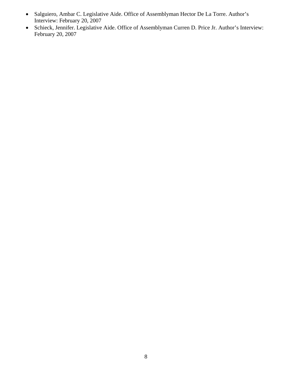- Salguiero, Ambar C. Legislative Aide. Office of Assemblyman Hector De La Torre. Author's Interview: February 20, 2007
- Schieck, Jennifer. Legislative Aide. Office of Assemblyman Curren D. Price Jr. Author's Interview: February 20, 2007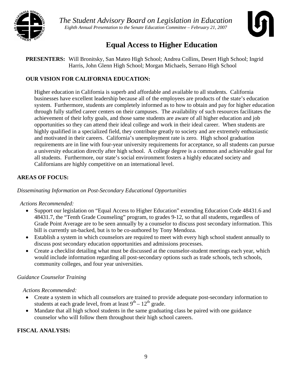



## **Equal Access to Higher Education**

**PRESENTERS:** Will Bronitsky, San Mateo High School; Andrea Collins, Desert High School; Ingrid Harris, John Glenn High School; Morgan Michaels, Serrano High School

## **OUR VISION FOR CALIFORNIA EDUCATION:**

Higher education in California is superb and affordable and available to all students. California businesses have excellent leadership because all of the employees are products of the state's education system. Furthermore, students are completely informed as to how to obtain and pay for higher education through fully staffed career centers on their campuses. The availability of such resources facilitates the achievement of their lofty goals, and those same students are aware of all higher education and job opportunities so they can attend their ideal college and work in their ideal career. When students are highly qualified in a specialized field, they contribute greatly to society and are extremely enthusiastic and motivated in their careers. California's unemployment rate is zero. High school graduation requirements are in line with four-year university requirements for acceptance, so all students can pursue a university education directly after high school. A college degree is a common and achievable goal for all students. Furthermore, our state's social environment fosters a highly educated society and Californians are highly competitive on an international level.

## **AREAS OF FOCUS:**

*Disseminating Information on Post-Secondary Educational Opportunities* 

## *Actions Recommended:*

- Support our legislation on "Equal Access to Higher Education" extending Education Code 48431.6 and 48431.7, the "Tenth Grade Counseling" program, to grades 9-12, so that all students, regardless of Grade Point Average are to be seen annually by a counselor to discuss post secondary information. This bill is currently un-backed, but is to be co-authored by Tony Mendoza.
- Establish a system in which counselors are required to meet with every high school student annually to discuss post secondary education opportunities and admissions processes.
- Create a checklist detailing what must be discussed at the counselor-student meetings each year, which would include information regarding all post-secondary options such as trade schools, tech schools, community colleges, and four year universities.

## *Guidance Counselor Training*

*Actions Recommended:* 

- Create a system in which all counselors are trained to provide adequate post-secondary information to students at each grade level, from at least  $9<sup>th</sup> - 12<sup>th</sup>$  grade.
- Mandate that all high school students in the same graduating class be paired with one guidance counselor who will follow them throughout their high school careers.

## **FISCAL ANALYSIS:**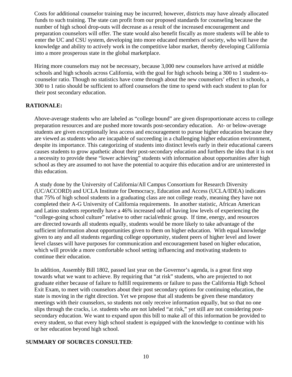Costs for additional counselor training may be incurred; however, districts may have already allocated funds to such training. The state can profit from our proposed standards for counseling because the number of high school drop-outs will decrease as a result of the increased encouragement and preparation counselors will offer. The state would also benefit fiscally as more students will be able to enter the UC and CSU system, developing into more educated members of society, who will have the knowledge and ability to actively work in the competitive labor market, thereby developing California into a more prosperous state in the global marketplace.

Hiring more counselors may not be necessary, because 3,000 new counselors have arrived at middle schools and high schools across California, with the goal for high schools being a 300 to 1 student-tocounselor ratio. Though no statistics have come through about the new counselors' effect in schools, a 300 to 1 ratio should be sufficient to afford counselors the time to spend with each student to plan for their post secondary education.

## **RATIONALE:**

Above-average students who are labeled as "college bound" are given disproportionate access to college preparation resources and are pushed more towards post-secondary education. At- or below-average students are given exceptionally less access and encouragement to pursue higher education because they are viewed as students who are incapable of succeeding in a challenging higher education environment, despite its importance. This categorizing of students into distinct levels early in their educational careers causes students to grow apathetic about their post-secondary education and furthers the idea that it is not a necessity to provide these "lower achieving" students with information about opportunities after high school as they are assumed to not have the potential to acquire this education and/or are uninterested in this education.

A study done by the University of California/All Campus Consortium for Research Diversity (UC/ACCORD) and UCLA Institute for Democracy, Education and Access (UCLA/IDEA) indicates that 75% of high school students in a graduating class are not college ready, meaning they have not completed their A-G University of California requirements. In another statistic, African American and Latino students reportedly have a 46% increased odd of having low levels of experiencing the "college-going school culture" relative to other racial/ethnic group. If time, energy, and resources are directed towards all students equally, students would be more likely to take advantage of the sufficient information about opportunities given to them on higher education. With equal knowledge given to any and all students regarding college opportunity, student peers of higher level and lower level classes will have purposes for communication and encouragement based on higher education, which will provide a more comfortable school setting influencing and motivating students to continue their education.

In addition, Assembly Bill 1802, passed last year on the Governor's agenda, is a great first step towards what we want to achieve. By requiring that "at risk" students, who are projected to not graduate either because of failure to fulfill requirements or failure to pass the California High School Exit Exam, to meet with counselors about their post secondary options for continuing education, the state is moving in the right direction. Yet we propose that all students be given these mandatory meetings with their counselors, so students not only receive information equally, but so that no one slips through the cracks, i.e. students who are not labeled "at risk," yet still are not considering postsecondary education. We want to expand upon this bill to make all of this information be provided to every student, so that every high school student is equipped with the knowledge to continue with his or her education beyond high school.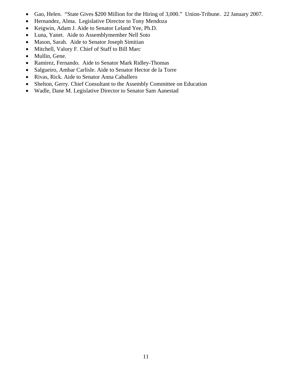- Gao, Helen. "State Gives \$200 Million for the Hiring of 3,000." Union-Tribune. 22 January 2007.
- Hernandez, Alma. Legislative Director to Tony Mendoza
- Keigwin, Adam J. Aide to Senator Leland Yee, Ph.D.
- Luna, Yanet. Aide to Assemblymember Nell Soto
- Mason, Sarah. Aide to Senator Joseph Simitian
- Mitchell, Valory F. Chief of Staff to Bill Marc
- Mullin, Gene.
- Ramirez, Fernando. Aide to Senator Mark Ridley-Thomas
- Salgueiro, Ambar Carlisle. Aide to Senator Hector de la Torre
- Rivas, Rick. Aide to Senator Anna Caballero
- Shelton, Gerry. Chief Consultant to the Assembly Committee on Education
- Wadle, Dane M. Legislative Director to Senator Sam Aanestad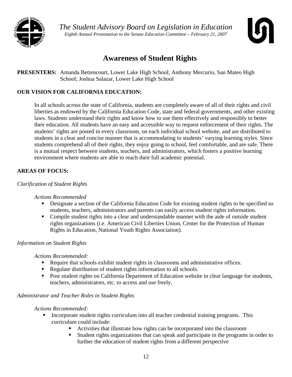



## **Awareness of Student Rights**

**PRESENTERS:** Amanda Bettencourt, Lower Lake High School; Anthony Mercurio, San Mateo High School; Joshua Salazar, Lower Lake High School

## **OUR VISION FOR CALIFORNIA EDUCATION:**

In all schools across the state of California, students are completely aware of all of their rights and civil liberties as endowed by the California Education Code, state and federal governments, and other existing laws. Students understand their rights and know how to use them effectively and responsibly to better their education. All students have an easy and accessible way to request enforcement of their rights. The students' rights are posted in every classroom, on each individual school website, and are distributed to students in a clear and concise manner that is accommodating to students' varying learning styles. Since students comprehend all of their rights, they enjoy going to school, feel comfortable, and are safe. There is a mutual respect between students, teachers, and administrators, which fosters a positive learning environment where students are able to reach their full academic potential.

## **AREAS OF FOCUS:**

## *Clarification of Student Rights*

### *Actions Recommended*

- Designate a section of the California Education Code for existing student rights to be specified so students, teachers, administrators and parents can easily access student rights information.
- Compile student rights into a clear and understandable manner with the aide of outside student rights organizations (i.e. American Civil Liberties Union, Center for the Protection of Human Rights in Education, National Youth Rights Association).

## *Information on Student Rights*

### *Actions Recommended:*

- Require that schools exhibit student rights in classrooms and administrative offices.
- Regulate distribution of student rights information to all schools.
- **Post student rights on California Department of Education website in clear language for students,** teachers, administrators, etc. to access and use freely.

### *Administrator and Teacher Roles in Student Rights*

- Incorporate student rights curriculum into all teacher credential training programs. This curriculum could include:
	- Activities that illustrate how rights can be incorporated into the classroom
	- Student rights organizations that can speak and participate in the programs in order to further the education of student rights from a different perspective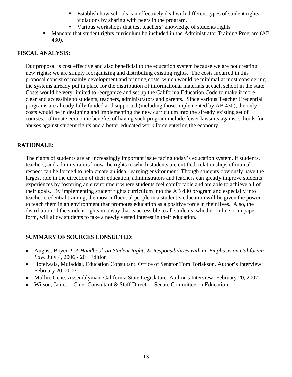- Establish how schools can effectively deal with different types of student rights violations by sharing with peers in the program.
- Various workshops that test teachers' knowledge of students rights
- Mandate that student rights curriculum be included in the Administrator Training Program (AB 430).

### **FISCAL ANALYSIS:**

Our proposal is cost effective and also beneficial to the education system because we are not creating new rights; we are simply reorganizing and distributing existing rights. The costs incurred in this proposal consist of mainly development and printing costs, which would be minimal at most considering the systems already put in place for the distribution of informational materials at each school in the state. Costs would be very limited to reorganize and set up the California Education Code to make it more clear and accessible to students, teachers, administrators and parents. Since various Teacher Credential programs are already fully funded and supported (including those implemented by AB 430), the only costs would be in designing and implementing the new curriculum into the already existing set of courses. Ultimate economic benefits of having such program include fewer lawsuits against schools for abuses against student rights and a better educated work force entering the economy.

## **RATIONALE:**

The rights of students are an increasingly important issue facing today's education system. If students, teachers, and administrators know the rights to which students are entitled, relationships of mutual respect can be formed to help create an ideal learning environment. Though students obviously have the largest role in the direction of their education, administrators and teachers can greatly improve students' experiences by fostering an environment where students feel comfortable and are able to achieve all of their goals. By implementing student rights curriculum into the AB 430 program and especially into teacher credential training, the most influential people in a student's education will be given the power to teach them in an environment that promotes education as a positive force in their lives. Also, the distribution of the student rights in a way that is accessible to all students, whether online or in paper form, will allow students to take a newly vested interest in their education.

- August, Boyer P. *A Handbook on Student Rights & Responsibilities with an Emphasis on California Law.* July 4, 2006 -  $20<sup>th</sup>$  Edition
- Hotelwala, Mufaddal. Education Consultant. Office of Senator Tom Torlakson. Author's Interview: February 20, 2007
- Mullin, Gene. Assemblyman, California State Legislature. Author's Interview: February 20, 2007
- Wilson, James Chief Consultant & Staff Director, Senate Committee on Education.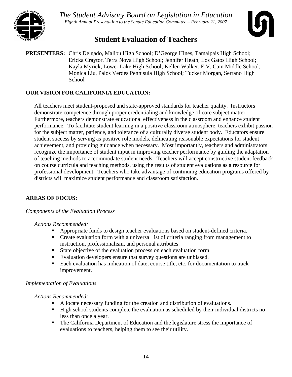



## **Student Evaluation of Teachers**

**PRESENTERS:** Chris Delgado, Malibu High School; D'George Hines, Tamalpais High School; Ericka Craytor, Terra Nova High School; Jennifer Heath, Los Gatos High School; Kayla Myrick, Lower Lake High School; Kellen Walker, E.V. Cain Middle School; Monica Liu, Palos Verdes Pennisula High School; Tucker Morgan, Serrano High **School** 

## **OUR VISION FOR CALIFORNIA EDUCATION:**

All teachers meet student-proposed and state-approved standards for teacher quality. Instructors demonstrate competence through proper credentialing and knowledge of core subject matter. Furthermore, teachers demonstrate educational effectiveness in the classroom and enhance student performance. To facilitate student learning in a positive classroom atmosphere, teachers exhibit passion for the subject matter, patience, and tolerance of a culturally diverse student body. Educators ensure student success by serving as positive role models, delineating reasonable expectations for student achievement, and providing guidance when necessary. Most importantly, teachers and administrators recognize the importance of student input in improving teacher performance by guiding the adaptation of teaching methods to accommodate student needs. Teachers will accept constructive student feedback on course curricula and teaching methods, using the results of student evaluations as a resource for professional development. Teachers who take advantage of continuing education programs offered by districts will maximize student performance and classroom satisfaction.

## **AREAS OF FOCUS:**

### *Components of the Evaluation Process*

### *Actions Recommended:*

- Appropriate funds to design teacher evaluations based on student-defined criteria.
- Create evaluation form with a universal list of criteria ranging from management to instruction, professionalism, and personal attributes.
- State objective of the evaluation process on each evaluation form.
- Evaluation developers ensure that survey questions are unbiased.
- Each evaluation has indication of date, course title, etc. for documentation to track improvement.

### *Implementation of Evaluations*

- Allocate necessary funding for the creation and distribution of evaluations.
- High school students complete the evaluation as scheduled by their individual districts no less than once a year.
- The California Department of Education and the legislature stress the importance of evaluations to teachers, helping them to see their utility.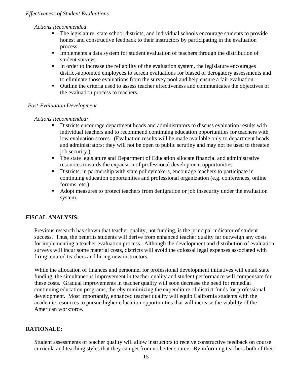### *Effectiveness of Student Evaluations*

#### *Actions Recommended*

- The legislature, state school districts, and individual schools encourage students to provide honest and constructive feedback to their instructors by participating in the evaluation process.
- **Implements a data system for student evaluation of teachers through the distribution of** student surveys.
- In order to increase the reliability of the evaluation system, the legislature encourages district-appointed employees to screen evaluations for biased or derogatory assessments and to eliminate those evaluations from the survey pool and help ensure a fair evaluation.
- Outline the criteria used to assess teacher effectiveness and communicates the objectives of the evaluation process to teachers.

#### *Post-Evaluation Development*

#### *Actions Recommended:*

- Districts encourage department heads and administrators to discuss evaluation results with individual teachers and to recommend continuing education opportunities for teachers with low evaluation scores. (Evaluation results will be made available only to department heads and administrators; they will not be open to public scrutiny and may not be used to threaten job security.)
- The state legislature and Department of Education allocate financial and administrative resources towards the expansion of professional development opportunities.
- Districts, in partnership with state policymakers, encourage teachers to participate in continuing education opportunities and professional organization (e.g. conferences, online forums, etc.).
- Adopt measures to protect teachers from denigration or job insecurity under the evaluation system.

### **FISCAL ANALYSIS:**

Previous research has shown that teacher quality, not funding, is the principal indicator of student success. Thus, the benefits students will derive from enhanced teacher quality far outweigh any costs for implementing a teacher evaluation process. Although the development and distribution of evaluation surveys will incur some material costs, districts will avoid the colossal legal expenses associated with firing tenured teachers and hiring new instructors.

While the allocation of finances and personnel for professional development initiatives will entail state funding, the simultaneous improvement in teacher quality and student performance will compensate for these costs. Gradual improvements in teacher quality will soon decrease the need for remedial continuing education programs, thereby minimizing the expenditure of district funds for professional development. Most importantly, enhanced teacher quality will equip California students with the academic resources to pursue higher education opportunities that will increase the viability of the American workforce.

### **RATIONALE:**

Student assessments of teacher quality will allow instructors to receive constructive feedback on course curricula and teaching styles that they can get from no better source. By informing teachers both of their